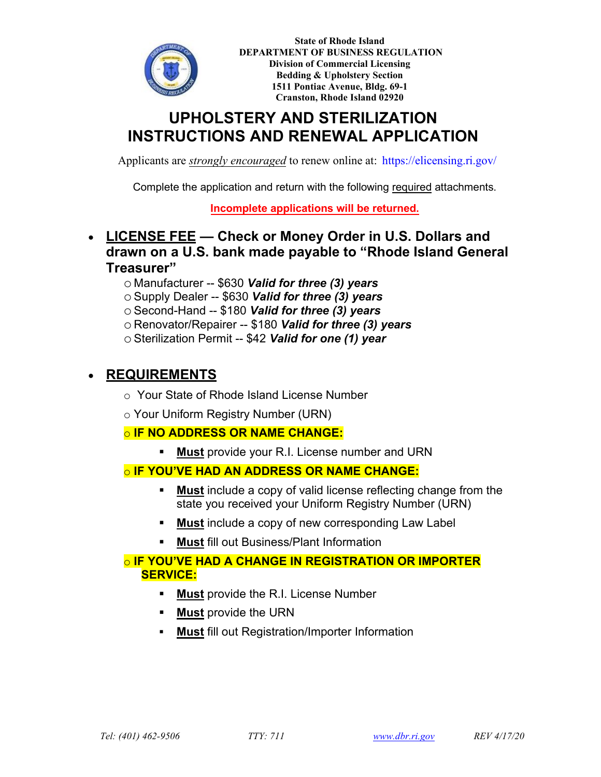

**State of Rhode Island DEPARTMENT OF BUSINESS REGULATION Division of Commercial Licensing Bedding & Upholstery Section 1511 Pontiac Avenue, Bldg. 69-1 Cranston, Rhode Island 02920** 

# **UPHOLSTERY AND STERILIZATION INSTRUCTIONS AND RENEWAL APPLICATION**

Applicants are *strongly encouraged* to renew online at: <https://elicensing.ri.gov/>

Complete the application and return with the following required attachments.

**Incomplete applications will be returned.**

- **LICENSE FEE Check or Money Order in U.S. Dollars and drawn on a U.S. bank made payable to "Rhode Island General Treasurer"**
	- o Manufacturer -- \$630 *Valid for three (3) years*
	- o Supply Dealer -- \$630 *Valid for three (3) years*
	- o Second-Hand -- \$180 *Valid for three (3) years*
	- o Renovator/Repairer -- \$180 *Valid for three (3) years*
	- o Sterilization Permit -- \$42 *Valid for one (1) year*

## • **REQUIREMENTS**

- o Your State of Rhode Island License Number
- o Your Uniform Registry Number (URN)

### o **IF NO ADDRESS OR NAME CHANGE:**

**Must** provide your R.I. License number and URN

### o **IF YOU'VE HAD AN ADDRESS OR NAME CHANGE:**

- **Must** include a copy of valid license reflecting change from the state you received your Uniform Registry Number (URN)
- **Must** include a copy of new corresponding Law Label
- **Must** fill out Business/Plant Information

### o **IF YOU'VE HAD A CHANGE IN REGISTRATION OR IMPORTER SERVICE:**

- **Must** provide the R.I. License Number
- **Must** provide the URN
- **Must** fill out Registration/Importer Information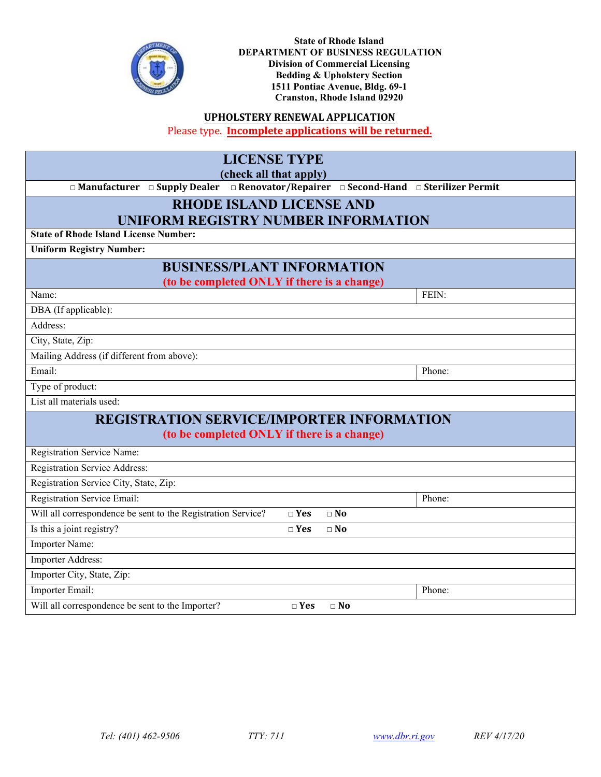

**State of Rhode Island DEPARTMENT OF BUSINESS REGULATION Division of Commercial Licensing Bedding & Upholstery Section 1511 Pontiac Avenue, Bldg. 69-1 Cranston, Rhode Island 02920** 

#### **UPHOLSTERY RENEWAL APPLICATION**

Please type. **Incomplete applications will be returned.**

| <b>LICENSE TYPE</b>                                                                   |               |              |        |  |  |
|---------------------------------------------------------------------------------------|---------------|--------------|--------|--|--|
| (check all that apply)                                                                |               |              |        |  |  |
| □ Manufacturer □ Supply Dealer □ Renovator/Repairer □ Second-Hand □ Sterilizer Permit |               |              |        |  |  |
| <b>RHODE ISLAND LICENSE AND</b>                                                       |               |              |        |  |  |
| <b>UNIFORM REGISTRY NUMBER INFORMATION</b>                                            |               |              |        |  |  |
| <b>State of Rhode Island License Number:</b>                                          |               |              |        |  |  |
| <b>Uniform Registry Number:</b>                                                       |               |              |        |  |  |
| <b>BUSINESS/PLANT INFORMATION</b>                                                     |               |              |        |  |  |
| (to be completed ONLY if there is a change)                                           |               |              |        |  |  |
| Name:                                                                                 |               |              | FEIN:  |  |  |
| DBA (If applicable):                                                                  |               |              |        |  |  |
| Address:                                                                              |               |              |        |  |  |
| City, State, Zip:                                                                     |               |              |        |  |  |
| Mailing Address (if different from above):                                            |               |              |        |  |  |
| Email:                                                                                |               |              | Phone: |  |  |
| Type of product:                                                                      |               |              |        |  |  |
| List all materials used:                                                              |               |              |        |  |  |
| <b>REGISTRATION SERVICE/IMPORTER INFORMATION</b>                                      |               |              |        |  |  |
| (to be completed ONLY if there is a change)                                           |               |              |        |  |  |
| <b>Registration Service Name:</b>                                                     |               |              |        |  |  |
| Registration Service Address:                                                         |               |              |        |  |  |
| Registration Service City, State, Zip:                                                |               |              |        |  |  |
| <b>Registration Service Email:</b>                                                    |               |              | Phone: |  |  |
| Will all correspondence be sent to the Registration Service?                          | $\square$ Yes | $\square$ No |        |  |  |
| Is this a joint registry?                                                             | $\square$ Yes | $\Box$ No    |        |  |  |
| Importer Name:                                                                        |               |              |        |  |  |
| Importer Address:                                                                     |               |              |        |  |  |
| Importer City, State, Zip:                                                            |               |              |        |  |  |
| Importer Email:                                                                       |               |              | Phone: |  |  |
| Will all correspondence be sent to the Importer?                                      | $\square$ Yes | $\Box$ No    |        |  |  |